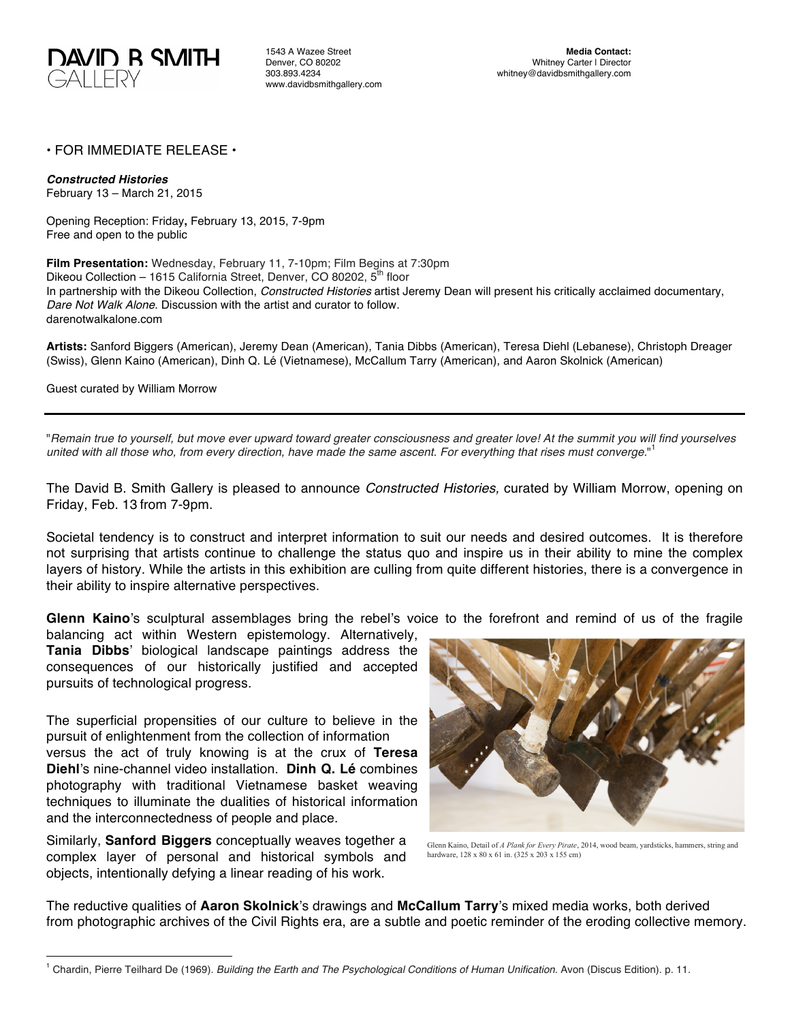

1543 A Wazee Street Denver, CO 80202 303.893.4234 www.davidbsmithgallery.com

## • FOR IMMEDIATE RELEASE •

*Constructed Histories*

February 13 – March 21, 2015

Opening Reception: Friday**,** February 13, 2015, 7-9pm Free and open to the public

**Film Presentation:** Wednesday, February 11, 7-10pm; Film Begins at 7:30pm Dikeou Collection – 1615 California Street, Denver, CO 80202, 5<sup>th</sup> floor In partnership with the Dikeou Collection, *Constructed Histories* artist Jeremy Dean will present his critically acclaimed documentary, *Dare Not Walk Alone*. Discussion with the artist and curator to follow. darenotwalkalone.com

**Artists:** Sanford Biggers (American), Jeremy Dean (American), Tania Dibbs (American), Teresa Diehl (Lebanese), Christoph Dreager (Swiss), Glenn Kaino (American), Dinh Q. Lé (Vietnamese), McCallum Tarry (American), and Aaron Skolnick (American)

Guest curated by William Morrow

"*Remain true to yourself, but move ever upward toward greater consciousness and greater love! At the summit you will find yourselves united with all those who, from every direction, have made the same ascent. For everything that rises must converge.*" 1

The David B. Smith Gallery is pleased to announce *Constructed Histories,* curated by William Morrow, opening on Friday, Feb. 13 from 7-9pm.

Societal tendency is to construct and interpret information to suit our needs and desired outcomes. It is therefore not surprising that artists continue to challenge the status quo and inspire us in their ability to mine the complex layers of history. While the artists in this exhibition are culling from quite different histories, there is a convergence in their ability to inspire alternative perspectives.

**Glenn Kaino**'s sculptural assemblages bring the rebel's voice to the forefront and remind of us of the fragile

balancing act within Western epistemology. Alternatively, **Tania Dibbs**' biological landscape paintings address the consequences of our historically justified and accepted pursuits of technological progress.

The superficial propensities of our culture to believe in the pursuit of enlightenment from the collection of information versus the act of truly knowing is at the crux of **Teresa Diehl**'s nine-channel video installation. **Dinh Q. Lé** combines photography with traditional Vietnamese basket weaving techniques to illuminate the dualities of historical information and the interconnectedness of people and place.

Similarly, **Sanford Biggers** conceptually weaves together a complex layer of personal and historical symbols and objects, intentionally defying a linear reading of his work.



Glenn Kaino, Detail of *A Plank for Every Pirate*, 2014, wood beam, yardsticks, hammers, string and hardware, 128 x 80 x 61 in. (325 x 203 x 155 cm)

The reductive qualities of **Aaron Skolnick**'s drawings and **McCallum Tarry**'s mixed media works, both derived from photographic archives of the Civil Rights era, are a subtle and poetic reminder of the eroding collective memory.

 <sup>1</sup> Chardin, Pierre Teilhard De (1969). *Building the Earth and The Psychological Conditions of Human Unification*. Avon (Discus Edition). p. 11.